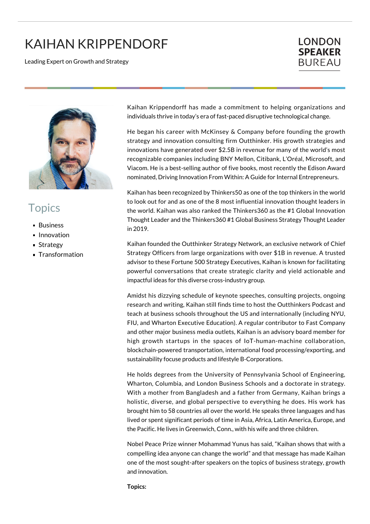## KAIHAN KRIPPENDORF

Leading Expert on Growth and Strategy

## **LONDON SPEAKER BUREAU**



## **Topics**

- Business
- **Innovation**
- **Strategy**
- **Transformation**

Kaihan Krippendorff has made a commitment to helping organizations and individuals thrive in today's era of fast-paced disruptive technological change.

He began his career with McKinsey & Company before founding the growth strategy and innovation consulting firm Outthinker. His growth strategies and innovations have generated over \$2.5B in revenue for many of the world's most recognizable companies including BNY Mellon, Citibank, L'Oréal, Microsoft, and Viacom. He is a best-selling author of five books, most recently the Edison Award nominated, Driving Innovation From Within: A Guide for Internal Entrepreneurs.

Kaihan has been recognized by Thinkers50 as one of the top thinkers in the world to look out for and as one of the 8 most influential innovation thought leaders in the world. Kaihan was also ranked the Thinkers360 as the #1 Global Innovation Thought Leader and the Thinkers360 #1 Global Business Strategy Thought Leader in 2019.

Kaihan founded the Outthinker Strategy Network, an exclusive network of Chief Strategy Officers from large organizations with over \$1B in revenue. A trusted advisor to these Fortune 500 Strategy Executives, Kaihan is known for facilitating powerful conversations that create strategic clarity and yield actionable and impactful ideas for this diverse cross-industry group.

Amidst his dizzying schedule of keynote speeches, consulting projects, ongoing research and writing, Kaihan still finds time to host the Outthinkers Podcast and teach at business schools throughout the US and internationally (including NYU, FIU, and Wharton Executive Education). A regular contributor to Fast Company and other major business media outlets, Kaihan is an advisory board member for high growth startups in the spaces of IoT-human-machine collaboration, blockchain-powered transportation, international food processing/exporting, and sustainability focuse products and lifestyle B-Corporations.

He holds degrees from the University of Pennsylvania School of Engineering, Wharton, Columbia, and London Business Schools and a doctorate in strategy. With a mother from Bangladesh and a father from Germany, Kaihan brings a holistic, diverse, and global perspective to everything he does. His work has brought him to 58 countries all over the world. He speaks three languages and has lived or spent significant periods of time in Asia, Africa, Latin America, Europe, and the Pacific. He lives in Greenwich, Conn., with his wife and three children.

Nobel Peace Prize winner Mohammad Yunus has said, "Kaihan shows that with a compelling idea anyone can change the world" and that message has made Kaihan one of the most sought-after speakers on the topics of business strategy, growth and innovation.

**Topics:**